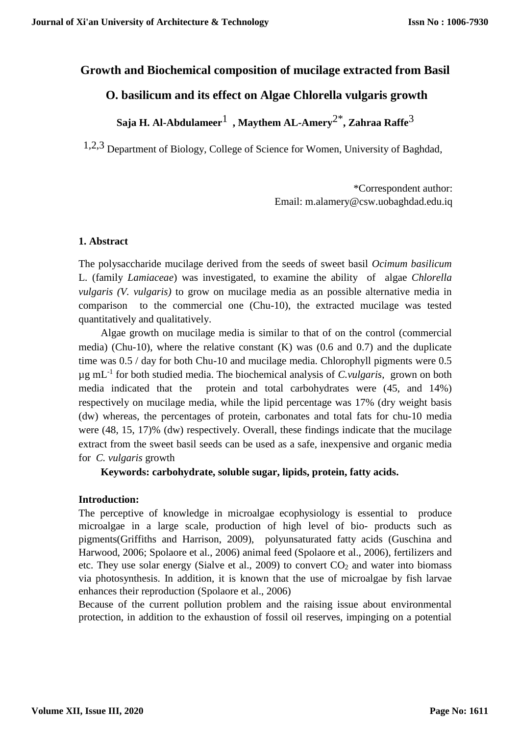# **Growth and Biochemical composition of mucilage extracted from Basil**

# **O. basilicum and its effect on Algae Chlorella vulgaris growth**

**Saja H. Al-Abdulameer**1 **, Maythem AL-Amery**2\* **, Zahraa Raffe**3

1,2,3 Department of Biology, College of Science for Women, University of Baghdad,

\*Correspondent author: Email: m.alamery@csw.uobaghdad.edu.iq

#### **1. Abstract**

The polysaccharide mucilage derived from the seeds of sweet basil *Ocimum basilicum* L. (family *Lamiaceae*) was investigated, to examine the ability of algae *Chlorella vulgaris (V. vulgaris)* to grow on mucilage media as an possible alternative media in comparison to the commercial one (Chu-10), the extracted mucilage was tested quantitatively and qualitatively.

Algae growth on mucilage media is similar to that of on the control (commercial media) (Chu-10), where the relative constant  $(K)$  was  $(0.6 \text{ and } 0.7)$  and the duplicate time was 0.5 / day for both Chu-10 and mucilage media. Chlorophyll pigments were 0.5 µg mL-1 for both studied media. The biochemical analysis of *C.vulgaris*, grown on both media indicated that the protein and total carbohydrates were (45, and 14%) respectively on mucilage media, while the lipid percentage was 17% (dry weight basis (dw) whereas, the percentages of protein, carbonates and total fats for chu-10 media were (48, 15, 17)% (dw) respectively. Overall, these findings indicate that the mucilage extract from the sweet basil seeds can be used as a safe, inexpensive and organic media for *C. vulgaris* growth

**Keywords: carbohydrate, soluble sugar, lipids, protein, fatty acids.**

#### **Introduction:**

The perceptive of knowledge in microalgae ecophysiology is essential to produce microalgae in a large scale, production of high level of bio- products such as pigments(Griffiths and Harrison, 2009), polyunsaturated fatty acids (Guschina and Harwood, 2006; Spolaore et al., 2006) animal feed (Spolaore et al., 2006), fertilizers and etc. They use solar energy (Sialve et al., 2009) to convert  $CO<sub>2</sub>$  and water into biomass via photosynthesis. In addition, it is known that the use of microalgae by fish larvae enhances their reproduction (Spolaore et al., 2006)

Because of the current pollution problem and the raising issue about environmental protection, in addition to the exhaustion of fossil oil reserves, impinging on a potential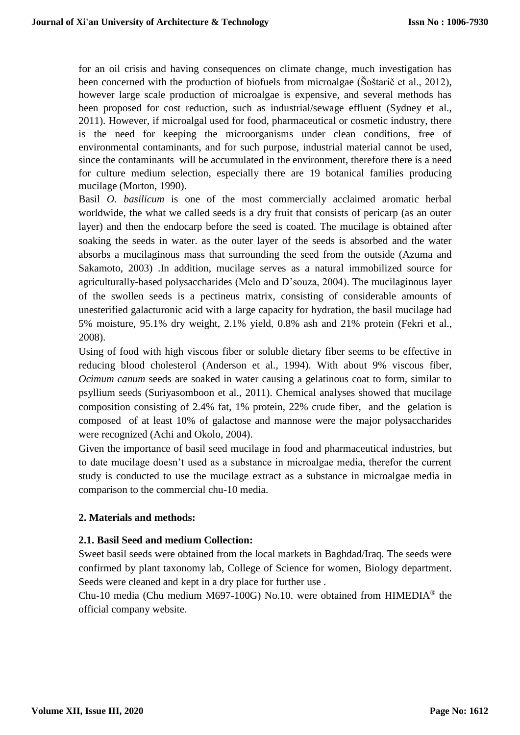for an oil crisis and having consequences on climate change, much investigation has been concerned with the production of biofuels from microalgae (Šoštarič et al., 2012), however large scale production of microalgae is expensive, and several methods has been proposed for cost reduction, such as industrial/sewage effluent (Sydney et al., 2011). However, if microalgal used for food, pharmaceutical or cosmetic industry, there is the need for keeping the microorganisms under clean conditions, free of environmental contaminants, and for such purpose, industrial material cannot be used, since the contaminants will be accumulated in the environment, therefore there is a need for culture medium selection, especially there are 19 botanical families producing mucilage (Morton, 1990).

Basil *O. basilicum* is one of the most commercially acclaimed aromatic herbal worldwide, the what we called seeds is a dry fruit that consists of pericarp (as an outer layer) and then the endocarp before the seed is coated. The mucilage is obtained after soaking the seeds in water. as the outer layer of the seeds is absorbed and the water absorbs a mucilaginous mass that surrounding the seed from the outside (Azuma and Sakamoto, 2003) .In addition, mucilage serves as a natural immobilized source for agriculturally-based polysaccharides (Melo and D'souza, 2004). The mucilaginous layer of the swollen seeds is a pectineus matrix, consisting of considerable amounts of unesterified galacturonic acid with a large capacity for hydration, the basil mucilage had 5% moisture, 95.1% dry weight, 2.1% yield, 0.8% ash and 21% protein (Fekri et al., 2008).

Using of food with high viscous fiber or soluble dietary fiber seems to be effective in reducing blood cholesterol (Anderson et al., 1994). With about 9% viscous fiber, *Ocimum canum* seeds are soaked in water causing a gelatinous coat to form, similar to psyllium seeds (Suriyasomboon et al., 2011). Chemical analyses showed that mucilage composition consisting of 2.4% fat, 1% protein, 22% crude fiber, and the gelation is composed of at least 10% of galactose and mannose were the major polysaccharides were recognized (Achi and Okolo, 2004).

Given the importance of basil seed mucilage in food and pharmaceutical industries, but to date mucilage doesn't used as a substance in microalgae media, therefor the current study is conducted to use the mucilage extract as a substance in microalgae media in comparison to the commercial chu-10 media.

# **2. Materials and methods:**

#### **2.1. Basil Seed and medium Collection:**

Sweet basil seeds were obtained from the local markets in Baghdad/Iraq. The seeds were confirmed by plant taxonomy lab, College of Science for women, Biology department. Seeds were cleaned and kept in a dry place for further use .

Chu-10 media (Chu medium M697-100G) No.10. were obtained from HIMEDIA® the official company website.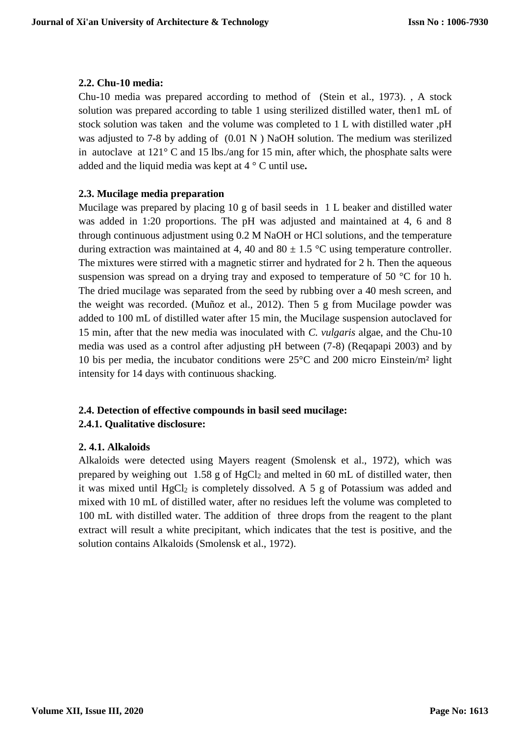# **2.2. Chu-10 media:**

Chu-10 media was prepared according to method of (Stein et al., 1973). , A stock solution was prepared according to table 1 using sterilized distilled water, then1 mL of stock solution was taken and the volume was completed to 1 L with distilled water ,pH was adjusted to 7-8 by adding of  $(0.01 \text{ N})$  NaOH solution. The medium was sterilized in autoclave at 121° C and 15 lbs./ang for 15 min, after which, the phosphate salts were added and the liquid media was kept at 4 ° C until use**.**

# **2.3. Mucilage media preparation**

Mucilage was prepared by placing 10 g of basil seeds in 1 L beaker and distilled water was added in 1:20 proportions. The pH was adjusted and maintained at 4, 6 and 8 through continuous adjustment using 0.2 M NaOH or HCl solutions, and the temperature during extraction was maintained at 4, 40 and 80  $\pm$  1.5 °C using temperature controller. The mixtures were stirred with a magnetic stirrer and hydrated for 2 h. Then the aqueous suspension was spread on a drying tray and exposed to temperature of 50 °C for 10 h. The dried mucilage was separated from the seed by rubbing over a 40 mesh screen, and the weight was recorded. (Muñoz et al., 2012). Then 5 g from Mucilage powder was added to 100 mL of distilled water after 15 min, the Mucilage suspension autoclaved for 15 min, after that the new media was inoculated with *C. vulgaris* algae, and the Chu-10 media was used as a control after adjusting pH between (7-8) (Reqapapi 2003) and by 10 bis per media, the incubator conditions were 25°C and 200 micro Einstein/m² light intensity for 14 days with continuous shacking.

# **2.4. Detection of effective compounds in basil seed mucilage:**

# **2.4.1. Qualitative disclosure:**

# **2. 4.1. Alkaloids**

Alkaloids were detected using Mayers reagent (Smolensk et al., 1972), which was prepared by weighing out  $1.58$  g of HgCl<sub>2</sub> and melted in 60 mL of distilled water, then it was mixed until  $HgCl<sub>2</sub>$  is completely dissolved. A 5 g of Potassium was added and mixed with 10 mL of distilled water, after no residues left the volume was completed to 100 mL with distilled water. The addition of three drops from the reagent to the plant extract will result a white precipitant, which indicates that the test is positive, and the solution contains Alkaloids (Smolensk et al., 1972).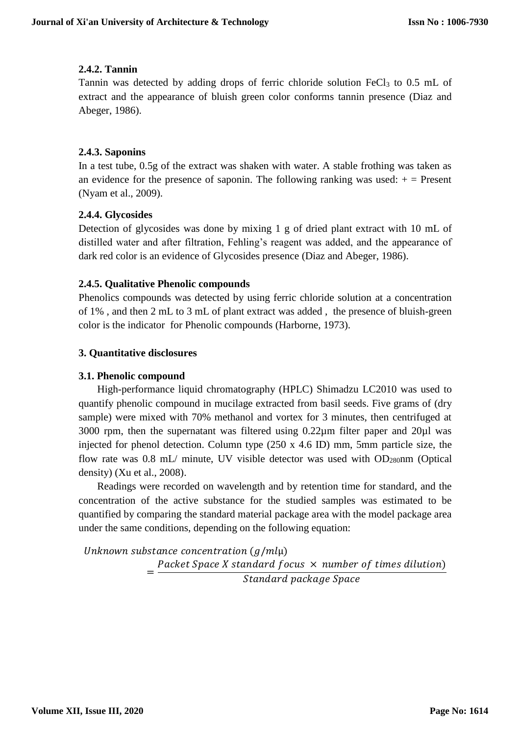# **2.4.2. Tannin**

Tannin was detected by adding drops of ferric chloride solution FeCl<sub>3</sub> to 0.5 mL of extract and the appearance of bluish green color conforms tannin presence (Diaz and Abeger, 1986).

# **2.4.3. Saponins**

In a test tube, 0.5g of the extract was shaken with water. A stable frothing was taken as an evidence for the presence of saponin. The following ranking was used:  $+$  = Present (Nyam et al., 2009).

## **2.4.4. Glycosides**

Detection of glycosides was done by mixing 1 g of dried plant extract with 10 mL of distilled water and after filtration, Fehling's reagent was added, and the appearance of dark red color is an evidence of Glycosides presence (Diaz and Abeger, 1986).

## **2.4.5. Qualitative Phenolic compounds**

Phenolics compounds was detected by using ferric chloride solution at a concentration of 1% , and then 2 mL to 3 mL of plant extract was added , the presence of bluish-green color is the indicator for Phenolic compounds (Harborne, 1973).

## **3. Quantitative disclosures**

#### **3.1. Phenolic compound**

High-performance liquid chromatography (HPLC) Shimadzu LC2010 was used to quantify phenolic compound in mucilage extracted from basil seeds. Five grams of (dry sample) were mixed with 70% methanol and vortex for 3 minutes, then centrifuged at 3000 rpm, then the supernatant was filtered using  $0.22\mu$ m filter paper and  $20\mu$ l was injected for phenol detection. Column type (250 x 4.6 ID) mm, 5mm particle size, the flow rate was  $0.8$  mL/ minute, UV visible detector was used with OD<sub>280</sub>nm (Optical density) (Xu et al., 2008).

Readings were recorded on wavelength and by retention time for standard, and the concentration of the active substance for the studied samples was estimated to be quantified by comparing the standard material package area with the model package area under the same conditions, depending on the following equation:

Unknown substance concentration  $(g/ml\mu)$ = Packet Space X standard focus  $\times$  number of times dilution) Standard package Space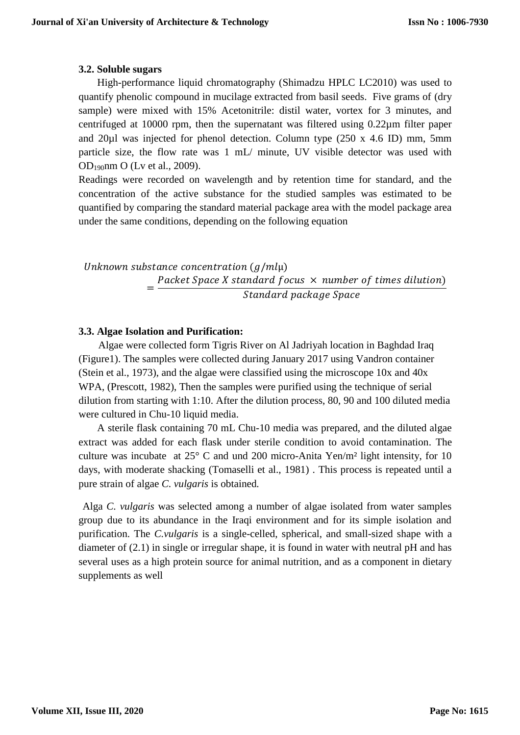## **3.2. Soluble sugars**

High-performance liquid chromatography (Shimadzu HPLC LC2010) was used to quantify phenolic compound in mucilage extracted from basil seeds. Five grams of (dry sample) were mixed with 15% Acetonitrile: distil water, vortex for 3 minutes, and centrifuged at 10000 rpm, then the supernatant was filtered using 0.22µm filter paper and 20µl was injected for phenol detection. Column type (250 x 4.6 ID) mm, 5mm particle size, the flow rate was 1 mL/ minute, UV visible detector was used with OD190nm O (Lv et al., 2009).

Readings were recorded on wavelength and by retention time for standard, and the concentration of the active substance for the studied samples was estimated to be quantified by comparing the standard material package area with the model package area under the same conditions, depending on the following equation

Unknown substance concentration  $(g/ml\mu)$ = Packet Space X standard focus  $\times$  number of times dilution) Standard package Space

## **3.3. Algae Isolation and Purification:**

Algae were collected form Tigris River on Al Jadriyah location in Baghdad Iraq (Figure1). The samples were collected during January 2017 using Vandron container (Stein et al., 1973), and the algae were classified using the microscope 10x and 40x WPA, (Prescott, 1982), Then the samples were purified using the technique of serial dilution from starting with 1:10. After the dilution process, 80, 90 and 100 diluted media were cultured in Chu-10 liquid media.

A sterile flask containing 70 mL Chu-10 media was prepared, and the diluted algae extract was added for each flask under sterile condition to avoid contamination. The culture was incubate at 25° C and und 200 micro-Anita Yen/m² light intensity, for 10 days, with moderate shacking (Tomaselli et al., 1981) . This process is repeated until a pure strain of algae *C. vulgaris* is obtained*.*

Alga *C. vulgaris* was selected among a number of algae isolated from water samples group due to its abundance in the Iraqi environment and for its simple isolation and purification. The *C.vulgaris* is a single-celled, spherical, and small-sized shape with a diameter of (2.1) in single or irregular shape, it is found in water with neutral pH and has several uses as a high protein source for animal nutrition, and as a component in dietary supplements as well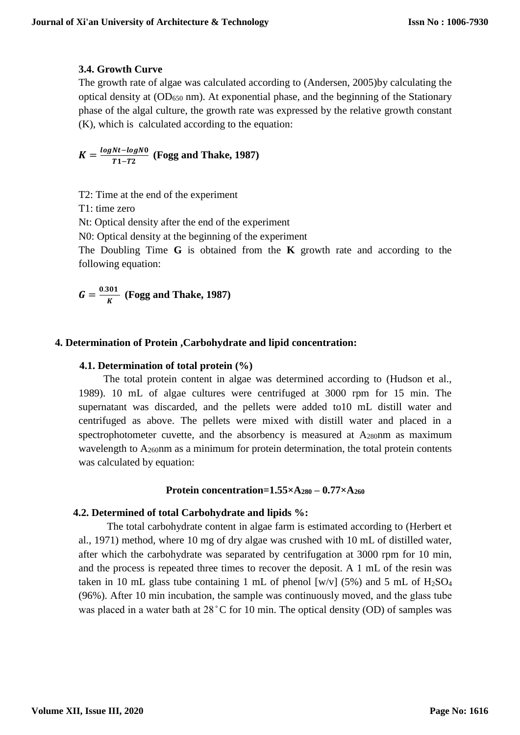# **3.4. Growth Curve**

The growth rate of algae was calculated according to (Andersen, 2005)by calculating the optical density at (OD<sup>650</sup> nm). At exponential phase, and the beginning of the Stationary phase of the algal culture, the growth rate was expressed by the relative growth constant (K), which is calculated according to the equation:

 $K = \frac{log Nt - log N0}{T1 - T2}$  $\frac{m-1}{T_1-T_2}$  (Fogg and Thake, 1987)

T2: Time at the end of the experiment

T1: time zero

Nt: Optical density after the end of the experiment

N0: Optical density at the beginning of the experiment

The Doubling Time **G** is obtained from the **K** growth rate and according to the following equation:

$$
G = \frac{0.301}{K}
$$
 (Fogg and Thake, 1987)

# **4. Determination of Protein ,Carbohydrate and lipid concentration:**

## **4.1. Determination of total protein (%)**

The total protein content in algae was determined according to (Hudson et al., 1989). 10 mL of algae cultures were centrifuged at 3000 rpm for 15 min. The supernatant was discarded, and the pellets were added to10 mL distill water and centrifuged as above. The pellets were mixed with distill water and placed in a spectrophotometer cuvette, and the absorbency is measured at  $A_{280}$ nm as maximum wavelength to A<sub>260</sub>nm as a minimum for protein determination, the total protein contents was calculated by equation:

#### **Protein concentration=1.55×A<sup>280</sup> – 0.77×A<sup>260</sup>**

#### **4.2. Determined of total Carbohydrate and lipids %:**

The total carbohydrate content in algae farm is estimated according to (Herbert et al., 1971) method, where 10 mg of dry algae was crushed with 10 mL of distilled water, after which the carbohydrate was separated by centrifugation at 3000 rpm for 10 min, and the process is repeated three times to recover the deposit. A 1 mL of the resin was taken in 10 mL glass tube containing 1 mL of phenol [w/v] (5%) and 5 mL of  $H<sub>2</sub>SO<sub>4</sub>$ (96%). After 10 min incubation, the sample was continuously moved, and the glass tube was placed in a water bath at 28 °C for 10 min. The optical density (OD) of samples was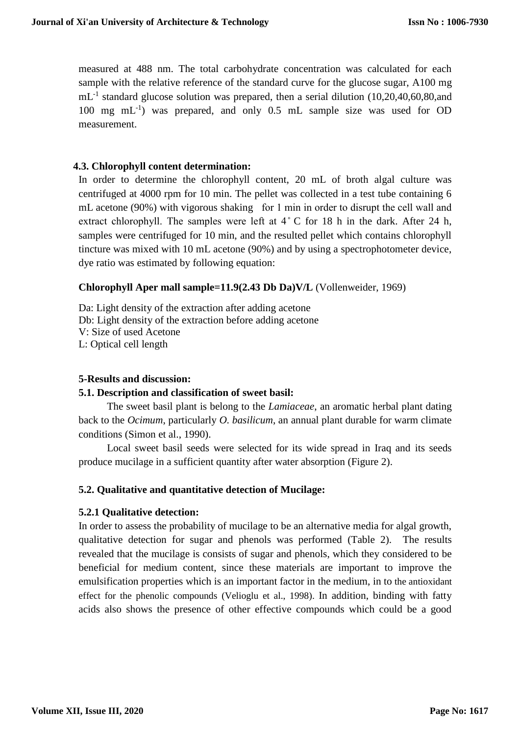measured at 488 nm. The total carbohydrate concentration was calculated for each sample with the relative reference of the standard curve for the glucose sugar, A100 mg mL<sup>-1</sup> standard glucose solution was prepared, then a serial dilution (10,20,40,60,80,and 100 mg mL-1 ) was prepared, and only 0.5 mL sample size was used for OD measurement.

# **4.3. Chlorophyll content determination:**

In order to determine the chlorophyll content, 20 mL of broth algal culture was centrifuged at 4000 rpm for 10 min. The pellet was collected in a test tube containing 6 mL acetone (90%) with vigorous shaking for 1 min in order to disrupt the cell wall and extract chlorophyll. The samples were left at  $4^{\circ}$  C for 18 h in the dark. After 24 h, samples were centrifuged for 10 min, and the resulted pellet which contains chlorophyll tincture was mixed with 10 mL acetone (90%) and by using a spectrophotometer device, dye ratio was estimated by following equation:

## **Chlorophyll Aper mall sample=11.9(2.43 Db Da)V/L** (Vollenweider, 1969)

Da: Light density of the extraction after adding acetone Db: Light density of the extraction before adding acetone V: Size of used Acetone L: Optical cell length

## **5-Results and discussion:**

#### **5.1. Description and classification of sweet basil:**

The sweet basil plant is belong to the *Lamiaceae*, an aromatic herbal plant dating back to the *Ocimum*, particularly *O. basilicum*, an annual plant durable for warm climate conditions (Simon et al., 1990).

Local sweet basil seeds were selected for its wide spread in Iraq and its seeds produce mucilage in a sufficient quantity after water absorption (Figure 2).

#### **5.2. Qualitative and quantitative detection of Mucilage:**

#### **5.2.1 Qualitative detection:**

In order to assess the probability of mucilage to be an alternative media for algal growth, qualitative detection for sugar and phenols was performed (Table 2). The results revealed that the mucilage is consists of sugar and phenols, which they considered to be beneficial for medium content, since these materials are important to improve the emulsification properties which is an important factor in the medium, in to the antioxidant effect for the phenolic compounds (Velioglu et al., 1998). In addition, binding with fatty acids also shows the presence of other effective compounds which could be a good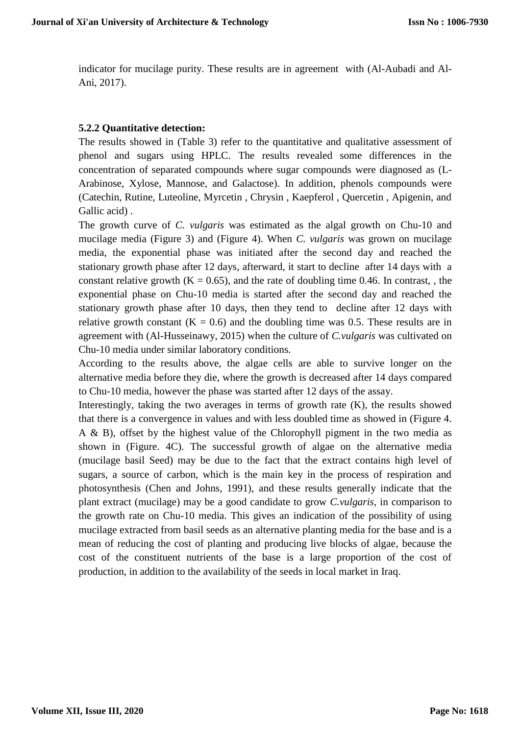indicator for mucilage purity. These results are in agreement with (Al-Aubadi and Al-Ani, 2017).

# **5.2.2 Quantitative detection:**

The results showed in (Table 3) refer to the quantitative and qualitative assessment of phenol and sugars using HPLC. The results revealed some differences in the concentration of separated compounds where sugar compounds were diagnosed as (L-Arabinose, Xylose, Mannose, and Galactose). In addition, phenols compounds were (Catechin, Rutine, Luteoline, Myrcetin , Chrysin , Kaepferol , Quercetin , Apigenin, and Gallic acid) .

The growth curve of *C. vulgaris* was estimated as the algal growth on Chu-10 and mucilage media (Figure 3) and (Figure 4). When *C. vulgaris* was grown on mucilage media, the exponential phase was initiated after the second day and reached the stationary growth phase after 12 days, afterward, it start to decline after 14 days with a constant relative growth  $(K = 0.65)$ , and the rate of doubling time 0.46. In contrast, , the exponential phase on Chu-10 media is started after the second day and reached the stationary growth phase after 10 days, then they tend to decline after 12 days with relative growth constant  $(K = 0.6)$  and the doubling time was 0.5. These results are in agreement with (Al-Husseinawy, 2015) when the culture of *C.vulgaris* was cultivated on Chu-10 media under similar laboratory conditions.

According to the results above, the algae cells are able to survive longer on the alternative media before they die, where the growth is decreased after 14 days compared to Chu-10 media, however the phase was started after 12 days of the assay.

Interestingly, taking the two averages in terms of growth rate (K), the results showed that there is a convergence in values and with less doubled time as showed in (Figure 4. A & B), offset by the highest value of the Chlorophyll pigment in the two media as shown in (Figure. 4C). The successful growth of algae on the alternative media (mucilage basil Seed) may be due to the fact that the extract contains high level of sugars, a source of carbon, which is the main key in the process of respiration and photosynthesis (Chen and Johns, 1991), and these results generally indicate that the plant extract (mucilage) may be a good candidate to grow *C.vulgaris*, in comparison to the growth rate on Chu-10 media. This gives an indication of the possibility of using mucilage extracted from basil seeds as an alternative planting media for the base and is a mean of reducing the cost of planting and producing live blocks of algae, because the cost of the constituent nutrients of the base is a large proportion of the cost of production, in addition to the availability of the seeds in local market in Iraq.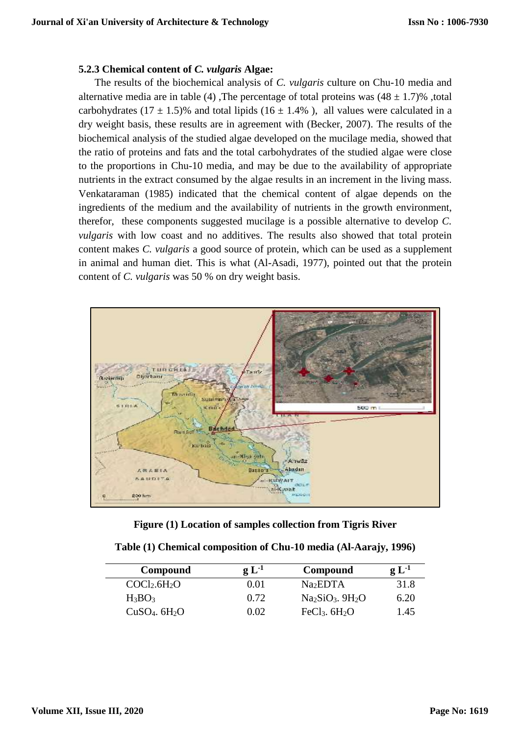#### **5.2.3 Chemical content of** *C. vulgaris* **Algae:**

The results of the biochemical analysis of *C. vulgaris* culture on Chu-10 media and alternative media are in table (4), The percentage of total proteins was  $(48 \pm 1.7)\%$ , total carbohydrates (17  $\pm$  1.5)% and total lipids (16  $\pm$  1.4%), all values were calculated in a dry weight basis, these results are in agreement with (Becker, 2007). The results of the biochemical analysis of the studied algae developed on the mucilage media, showed that the ratio of proteins and fats and the total carbohydrates of the studied algae were close to the proportions in Chu-10 media, and may be due to the availability of appropriate nutrients in the extract consumed by the algae results in an increment in the living mass. Venkataraman (1985) indicated that the chemical content of algae depends on the ingredients of the medium and the availability of nutrients in the growth environment, therefor, these components suggested mucilage is a possible alternative to develop *C. vulgaris* with low coast and no additives. The results also showed that total protein content makes *C. vulgaris* a good source of protein, which can be used as a supplement in animal and human diet. This is what (Al-Asadi, 1977), pointed out that the protein content of *C. vulgaris* was 50 % on dry weight basis.



**Figure (1) Location of samples collection from Tigris River**

| Compound                             | $g L-1$ | Compound                   | $\mathfrak{g}$ $\mathrm{L}^{\text{-}1}$ |
|--------------------------------------|---------|----------------------------|-----------------------------------------|
| COCl <sub>2</sub> .6H <sub>2</sub> O | 0.01    | Na <sub>2</sub> EDTA       | 31.8                                    |
| $H_3BO_3$                            | 0.72    | $Na2SiO3$ . $9H2O$         | 6.20                                    |
| $CuSO4$ . $6H2O$                     | 0.02    | FeCl <sub>3</sub> . $6H2O$ | l.45                                    |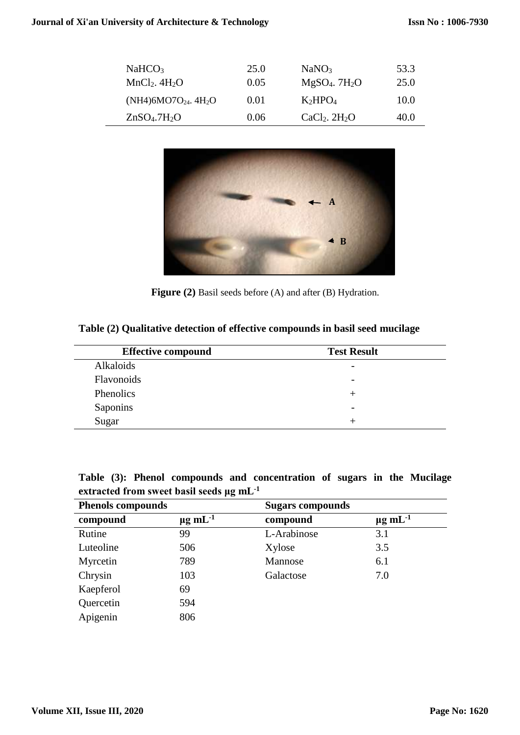| NaHCO <sub>3</sub><br>$MnCl2$ . 4H <sub>2</sub> O | 25.0<br>0.05 | NaNO <sub>3</sub><br>$MgSO4$ . 7H <sub>2</sub> O | 53.3<br>25.0 |
|---------------------------------------------------|--------------|--------------------------------------------------|--------------|
| $(NH4)6MO7O_{24}$ . 4H <sub>2</sub> O             | 0.01         | $K_2HPO_4$                                       | 10.0         |
| ZnSO <sub>4</sub> .7H <sub>2</sub> O              | 0.06         | $CaCl2$ . $2H2O$                                 | 40.0         |



Figure (2) Basil seeds before (A) and after (B) Hydration.

**Table (2) Qualitative detection of effective compounds in basil seed mucilage**

| <b>Effective compound</b> | <b>Test Result</b>       |
|---------------------------|--------------------------|
| Alkaloids                 | $\overline{\phantom{0}}$ |
| Flavonoids                | $\overline{\phantom{0}}$ |
| Phenolics                 |                          |
| Saponins                  | $\overline{\phantom{0}}$ |
| Sugar                     |                          |

**Table (3): Phenol compounds and concentration of sugars in the Mucilage extracted from sweet basil seeds μg mL-1**

| <b>Phenols compounds</b> |                          | <b>Sugars compounds</b> |                    |
|--------------------------|--------------------------|-------------------------|--------------------|
| compound                 | $\mu$ g mL <sup>-1</sup> | compound                | $\mu$ g mL $^{-1}$ |
| Rutine                   | 99                       | L-Arabinose             | 3.1                |
| Luteoline                | 506                      | Xylose                  | 3.5                |
| Myrcetin                 | 789                      | Mannose                 | 6.1                |
| Chrysin                  | 103                      | Galactose               | 7.0                |
| Kaepferol                | 69                       |                         |                    |
| Quercetin                | 594                      |                         |                    |
| Apigenin                 | 806                      |                         |                    |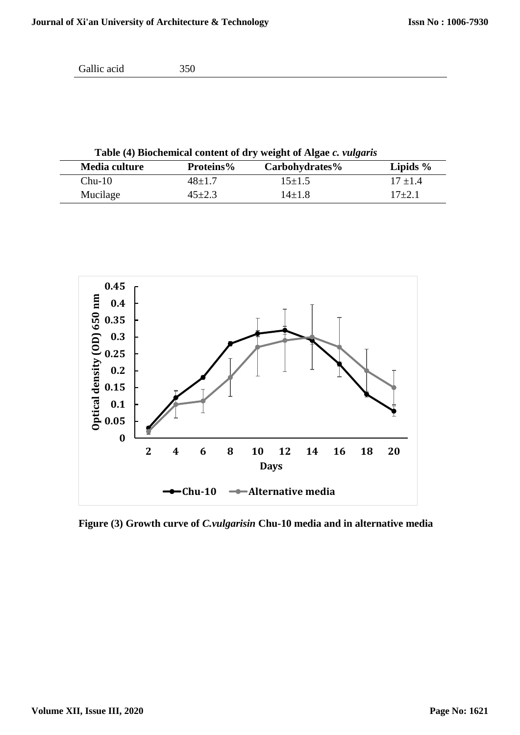```
Gallic acid 350
```
**Table (4) Biochemical content of dry weight of Algae** *c. vulgaris*

| Media culture | <b>Proteins%</b> | Carbohydrates% | Lipids $\%$ |
|---------------|------------------|----------------|-------------|
| $Chu-10$      | $48 \pm 1.7$     | $15\pm1.5$     | $17 + 1.4$  |
| Mucilage      | 45±2.3           | $14\pm1.8$     | $17 + 2.1$  |



**Figure (3) Growth curve of** *C.vulgarisin* **Chu-10 media and in alternative media**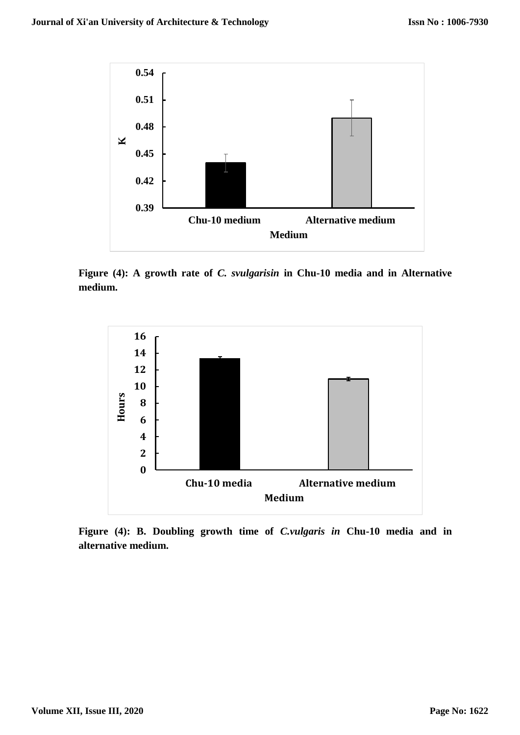

**Figure (4): A growth rate of** *C. svulgarisin* **in Chu-10 media and in Alternative medium.**



**Figure (4): B. Doubling growth time of** *C.vulgaris in* **Chu-10 media and in alternative medium.**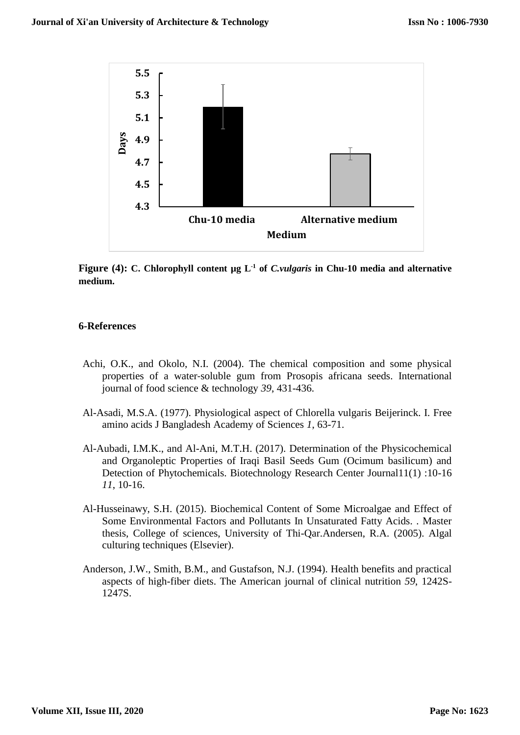

**Figure** (4): C. Chlorophyll content  $\mu$ g L<sup>-1</sup> of *C.vulgaris* in Chu-10 media and alternative **medium.**

#### **6-References**

- Achi, O.K., and Okolo, N.I. (2004). The chemical composition and some physical properties of a water‐soluble gum from Prosopis africana seeds. International journal of food science & technology *39*, 431-436.
- Al-Asadi, M.S.A. (1977). Physiological aspect of Chlorella vulgaris Beijerinck. I. Free amino acids J Bangladesh Academy of Sciences *1*, 63-71.
- Al-Aubadi, I.M.K., and Al-Ani, M.T.H. (2017). Determination of the Physicochemical and Organoleptic Properties of Iraqi Basil Seeds Gum (Ocimum basilicum) and Detection of Phytochemicals. Biotechnology Research Center Journal11(1) :10-16 *11*, 10-16.
- Al-Husseinawy, S.H. (2015). Biochemical Content of Some Microalgae and Effect of Some Environmental Factors and Pollutants In Unsaturated Fatty Acids. . Master thesis, College of sciences, University of Thi-Qar.Andersen, R.A. (2005). Algal culturing techniques (Elsevier).
- Anderson, J.W., Smith, B.M., and Gustafson, N.J. (1994). Health benefits and practical aspects of high-fiber diets. The American journal of clinical nutrition *59*, 1242S-1247S.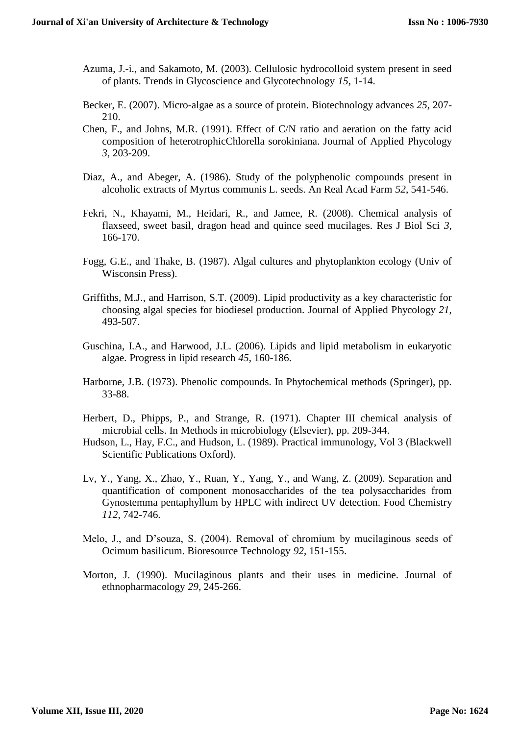- Azuma, J.-i., and Sakamoto, M. (2003). Cellulosic hydrocolloid system present in seed of plants. Trends in Glycoscience and Glycotechnology *15*, 1-14.
- Becker, E. (2007). Micro-algae as a source of protein. Biotechnology advances *25*, 207- 210.
- Chen, F., and Johns, M.R. (1991). Effect of C/N ratio and aeration on the fatty acid composition of heterotrophicChlorella sorokiniana. Journal of Applied Phycology *3*, 203-209.
- Diaz, A., and Abeger, A. (1986). Study of the polyphenolic compounds present in alcoholic extracts of Myrtus communis L. seeds. An Real Acad Farm *52*, 541-546.
- Fekri, N., Khayami, M., Heidari, R., and Jamee, R. (2008). Chemical analysis of flaxseed, sweet basil, dragon head and quince seed mucilages. Res J Biol Sci *3*, 166-170.
- Fogg, G.E., and Thake, B. (1987). Algal cultures and phytoplankton ecology (Univ of Wisconsin Press).
- Griffiths, M.J., and Harrison, S.T. (2009). Lipid productivity as a key characteristic for choosing algal species for biodiesel production. Journal of Applied Phycology *21*, 493-507.
- Guschina, I.A., and Harwood, J.L. (2006). Lipids and lipid metabolism in eukaryotic algae. Progress in lipid research *45*, 160-186.
- Harborne, J.B. (1973). Phenolic compounds. In Phytochemical methods (Springer), pp. 33-88.
- Herbert, D., Phipps, P., and Strange, R. (1971). Chapter III chemical analysis of microbial cells. In Methods in microbiology (Elsevier), pp. 209-344.
- Hudson, L., Hay, F.C., and Hudson, L. (1989). Practical immunology, Vol 3 (Blackwell Scientific Publications Oxford).
- Lv, Y., Yang, X., Zhao, Y., Ruan, Y., Yang, Y., and Wang, Z. (2009). Separation and quantification of component monosaccharides of the tea polysaccharides from Gynostemma pentaphyllum by HPLC with indirect UV detection. Food Chemistry *112*, 742-746.
- Melo, J., and D'souza, S. (2004). Removal of chromium by mucilaginous seeds of Ocimum basilicum. Bioresource Technology *92*, 151-155.
- Morton, J. (1990). Mucilaginous plants and their uses in medicine. Journal of ethnopharmacology *29*, 245-266.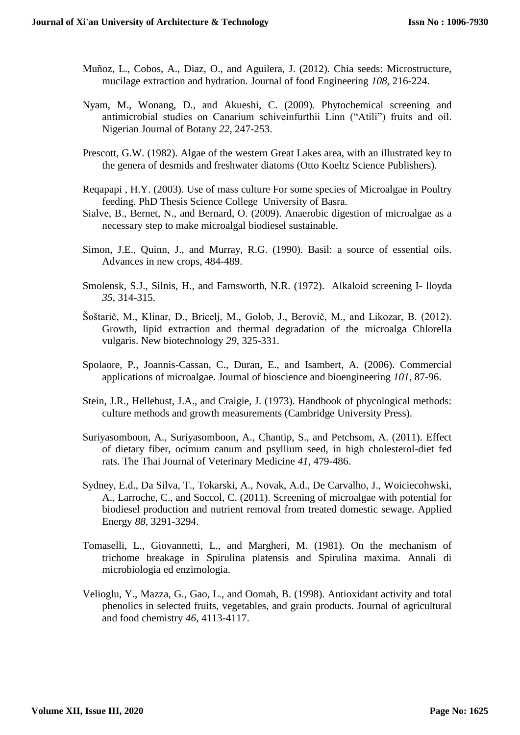- Muñoz, L., Cobos, A., Diaz, O., and Aguilera, J. (2012). Chia seeds: Microstructure, mucilage extraction and hydration. Journal of food Engineering *108*, 216-224.
- Nyam, M., Wonang, D., and Akueshi, C. (2009). Phytochemical screening and antimicrobial studies on Canarium schiveinfurthii Linn ("Atili") fruits and oil. Nigerian Journal of Botany *22*, 247-253.
- Prescott, G.W. (1982). Algae of the western Great Lakes area, with an illustrated key to the genera of desmids and freshwater diatoms (Otto Koeltz Science Publishers).
- Reqapapi , H.Y. (2003). Use of mass culture For some species of Microalgae in Poultry feeding. PhD Thesis Science College University of Basra.
- Sialve, B., Bernet, N., and Bernard, O. (2009). Anaerobic digestion of microalgae as a necessary step to make microalgal biodiesel sustainable.
- Simon, J.E., Quinn, J., and Murray, R.G. (1990). Basil: a source of essential oils. Advances in new crops, 484-489.
- Smolensk, S.J., Silnis, H., and Farnsworth, N.R. (1972). Alkaloid screening I- lloyda *35*, 314-315.
- Šoštarič, M., Klinar, D., Bricelj, M., Golob, J., Berovič, M., and Likozar, B. (2012). Growth, lipid extraction and thermal degradation of the microalga Chlorella vulgaris. New biotechnology *29*, 325-331.
- Spolaore, P., Joannis-Cassan, C., Duran, E., and Isambert, A. (2006). Commercial applications of microalgae. Journal of bioscience and bioengineering *101*, 87-96.
- Stein, J.R., Hellebust, J.A., and Craigie, J. (1973). Handbook of phycological methods: culture methods and growth measurements (Cambridge University Press).
- Suriyasomboon, A., Suriyasomboon, A., Chantip, S., and Petchsom, A. (2011). Effect of dietary fiber, ocimum canum and psyllium seed, in high cholesterol-diet fed rats. The Thai Journal of Veterinary Medicine *41*, 479-486.
- Sydney, E.d., Da Silva, T., Tokarski, A., Novak, A.d., De Carvalho, J., Woiciecohwski, A., Larroche, C., and Soccol, C. (2011). Screening of microalgae with potential for biodiesel production and nutrient removal from treated domestic sewage. Applied Energy *88*, 3291-3294.
- Tomaselli, L., Giovannetti, L., and Margheri, M. (1981). On the mechanism of trichome breakage in Spirulina platensis and Spirulina maxima. Annali di microbiologia ed enzimologia.
- Velioglu, Y., Mazza, G., Gao, L., and Oomah, B. (1998). Antioxidant activity and total phenolics in selected fruits, vegetables, and grain products. Journal of agricultural and food chemistry *46*, 4113-4117.